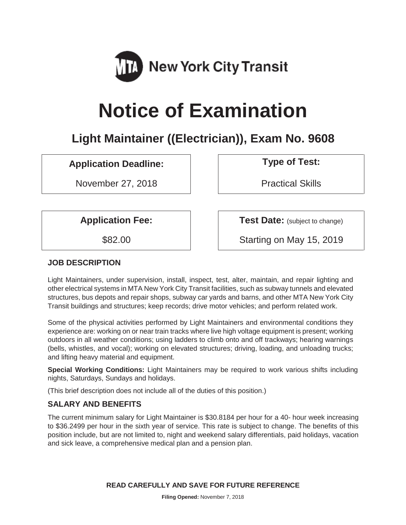

# **Notice of Examination**

# **Light Maintainer ((Electrician)), Exam No. 9608**

# Application Deadline: **Noting the September 1 Type of Test:**

November 27, 2018 | Practical Skills

**Application Fee:**  $\vert$  **Test Date:** (subject to change)

\$82.00 Starting on May 15, 2019

# **JOB DESCRIPTION**

Light Maintainers, under supervision, install, inspect, test, alter, maintain, and repair lighting and other electrical systems in MTA New York City Transit facilities, such as subway tunnels and elevated structures, bus depots and repair shops, subway car yards and barns, and other MTA New York City Transit buildings and structures; keep records; drive motor vehicles; and perform related work.

Some of the physical activities performed by Light Maintainers and environmental conditions they experience are: working on or near train tracks where live high voltage equipment is present; working outdoors in all weather conditions; using ladders to climb onto and off trackways; hearing warnings (bells, whistles, and vocal); working on elevated structures; driving, loading, and unloading trucks; and lifting heavy material and equipment.

**Special Working Conditions:** Light Maintainers may be required to work various shifts including nights, Saturdays, Sundays and holidays.

(This brief description does not include all of the duties of this position.)

# **SALARY AND BENEFITS**

The current minimum salary for Light Maintainer is \$30.8184 per hour for a 40- hour week increasing to \$36.2499 per hour in the sixth year of service. This rate is subject to change. The benefits of this position include, but are not limited to, night and weekend salary differentials, paid holidays, vacation and sick leave, a comprehensive medical plan and a pension plan.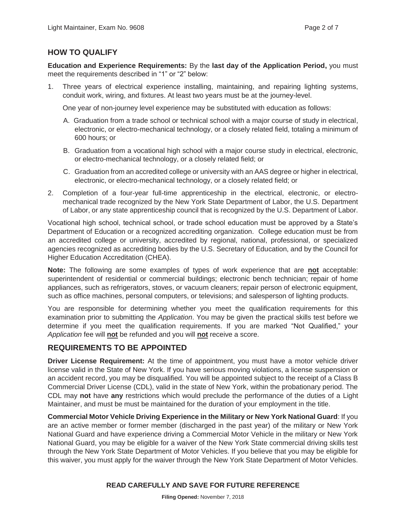# **HOW TO QUALIFY**

**Education and Experience Requirements:** By the **last day of the Application Period,** you must meet the requirements described in "1" or "2" below:

1. Three years of electrical experience installing, maintaining, and repairing lighting systems, conduit work, wiring, and fixtures. At least two years must be at the journey-level.

One year of non-journey level experience may be substituted with education as follows:

- A. Graduation from a trade school or technical school with a major course of study in electrical, electronic, or electro-mechanical technology, or a closely related field, totaling a minimum of 600 hours; or
- B. Graduation from a vocational high school with a major course study in electrical, electronic, or electro-mechanical technology, or a closely related field; or
- C. Graduation from an accredited college or university with an AAS degree or higher in electrical, electronic, or electro-mechanical technology, or a closely related field; or
- 2. Completion of a four-year full-time apprenticeship in the electrical, electronic, or electromechanical trade recognized by the New York State Department of Labor, the U.S. Department of Labor, or any state apprenticeship council that is recognized by the U.S. Department of Labor.

Vocational high school, technical school, or trade school education must be approved by a State's Department of Education or a recognized accrediting organization. College education must be from an accredited college or university, accredited by regional, national, professional, or specialized agencies recognized as accrediting bodies by the U.S. Secretary of Education, and by the Council for Higher Education Accreditation (CHEA).

**Note:** The following are some examples of types of work experience that are **not** acceptable: superintendent of residential or commercial buildings; electronic bench technician; repair of home appliances, such as refrigerators, stoves, or vacuum cleaners; repair person of electronic equipment, such as office machines, personal computers, or televisions; and salesperson of lighting products.

You are responsible for determining whether you meet the qualification requirements for this examination prior to submitting the *Application*. You may be given the practical skills test before we determine if you meet the qualification requirements. If you are marked "Not Qualified," your *Application* fee will **not** be refunded and you will **not** receive a score.

# **REQUIREMENTS TO BE APPOINTED**

**Driver License Requirement:** At the time of appointment, you must have a motor vehicle driver license valid in the State of New York. If you have serious moving violations, a license suspension or an accident record, you may be disqualified. You will be appointed subject to the receipt of a Class B Commercial Driver License (CDL), valid in the state of New York, within the probationary period. The CDL may **not** have **any** restrictions which would preclude the performance of the duties of a Light Maintainer, and must be must be maintained for the duration of your employment in the title.

**Commercial Motor Vehicle Driving Experience in the Military or New York National Guard**: If you are an active member or former member (discharged in the past year) of the military or New York National Guard and have experience driving a Commercial Motor Vehicle in the military or New York National Guard, you may be eligible for a waiver of the New York State commercial driving skills test through the New York State Department of Motor Vehicles. If you believe that you may be eligible for this waiver, you must apply for the waiver through the New York State Department of Motor Vehicles.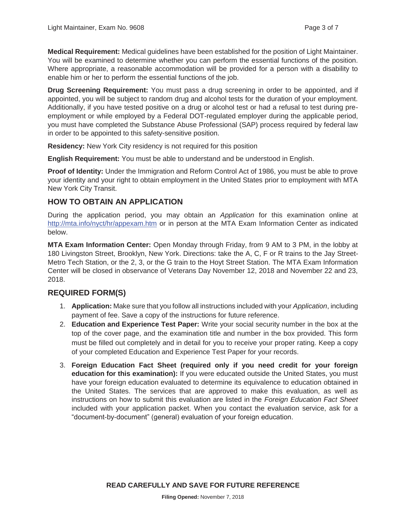**Medical Requirement:** Medical guidelines have been established for the position of Light Maintainer. You will be examined to determine whether you can perform the essential functions of the position. Where appropriate, a reasonable accommodation will be provided for a person with a disability to enable him or her to perform the essential functions of the job.

**Drug Screening Requirement:** You must pass a drug screening in order to be appointed, and if appointed, you will be subject to random drug and alcohol tests for the duration of your employment. Additionally, if you have tested positive on a drug or alcohol test or had a refusal to test during preemployment or while employed by a Federal DOT-regulated employer during the applicable period, you must have completed the Substance Abuse Professional (SAP) process required by federal law in order to be appointed to this safety-sensitive position.

**Residency:** New York City residency is not required for this position

**English Requirement:** You must be able to understand and be understood in English.

**Proof of Identity:** Under the Immigration and Reform Control Act of 1986, you must be able to prove your identity and your right to obtain employment in the United States prior to employment with MTA New York City Transit.

# **HOW TO OBTAIN AN APPLICATION**

During the application period, you may obtain an *Application* for this examination online at http://mta.info/nyct/hr/appexam.htm or in person at the MTA Exam Information Center as indicated below.

**MTA Exam Information Center:** Open Monday through Friday, from 9 AM to 3 PM, in the lobby at 180 Livingston Street, Brooklyn, New York. Directions: take the A, C, F or R trains to the Jay Street-Metro Tech Station, or the 2, 3, or the G train to the Hoyt Street Station. The MTA Exam Information Center will be closed in observance of Veterans Day November 12, 2018 and November 22 and 23, 2018.

# **REQUIRED FORM(S)**

- 1. **Application:** Make sure that you follow all instructions included with your *Application*, including payment of fee. Save a copy of the instructions for future reference.
- 2. **Education and Experience Test Paper:** Write your social security number in the box at the top of the cover page, and the examination title and number in the box provided. This form must be filled out completely and in detail for you to receive your proper rating. Keep a copy of your completed Education and Experience Test Paper for your records.
- 3. **Foreign Education Fact Sheet (required only if you need credit for your foreign education for this examination):** If you were educated outside the United States, you must have your foreign education evaluated to determine its equivalence to education obtained in the United States. The services that are approved to make this evaluation, as well as instructions on how to submit this evaluation are listed in the *Foreign Education Fact Sheet* included with your application packet. When you contact the evaluation service, ask for a "document-by-document" (general) evaluation of your foreign education.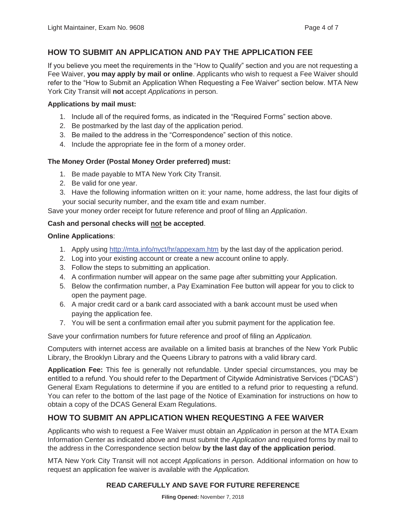# **HOW TO SUBMIT AN APPLICATION AND PAY THE APPLICATION FEE**

If you believe you meet the requirements in the "How to Qualify" section and you are not requesting a Fee Waiver, **you may apply by mail or online**. Applicants who wish to request a Fee Waiver should refer to the "How to Submit an Application When Requesting a Fee Waiver" section below. MTA New York City Transit will **not** accept *Applications* in person.

#### **Applications by mail must:**

- 1. Include all of the required forms, as indicated in the "Required Forms" section above.
- 2. Be postmarked by the last day of the application period.
- 3. Be mailed to the address in the "Correspondence" section of this notice.
- 4. Include the appropriate fee in the form of a money order.

#### **The Money Order (Postal Money Order preferred) must:**

- 1. Be made payable to MTA New York City Transit.
- 2. Be valid for one year.
- 3. Have the following information written on it: your name, home address, the last four digits of your social security number, and the exam title and exam number.

Save your money order receipt for future reference and proof of filing an *Application*.

#### **Cash and personal checks will not be accepted**.

#### **Online Applications**:

- 1. Apply using http://mta.info/nyct/hr/appexam.htm by the last day of the application period.
- 2. Log into your existing account or create a new account online to apply.
- 3. Follow the steps to submitting an application.
- 4. A confirmation number will appear on the same page after submitting your Application.
- 5. Below the confirmation number, a Pay Examination Fee button will appear for you to click to open the payment page.
- 6. A major credit card or a bank card associated with a bank account must be used when paying the application fee.
- 7. You will be sent a confirmation email after you submit payment for the application fee.

Save your confirmation numbers for future reference and proof of filing an *Application.*

Computers with internet access are available on a limited basis at branches of the New York Public Library, the Brooklyn Library and the Queens Library to patrons with a valid library card.

**Application Fee:** This fee is generally not refundable. Under special circumstances, you may be entitled to a refund. You should refer to the Department of Citywide Administrative Services ("DCAS") General Exam Regulations to determine if you are entitled to a refund prior to requesting a refund. You can refer to the bottom of the last page of the Notice of Examination for instructions on how to obtain a copy of the DCAS General Exam Regulations.

# **HOW TO SUBMIT AN APPLICATION WHEN REQUESTING A FEE WAIVER**

Applicants who wish to request a Fee Waiver must obtain an *Application* in person at the MTA Exam Information Center as indicated above and must submit the *Application* and required forms by mail to the address in the Correspondence section below **by the last day of the application period**.

MTA New York City Transit will not accept *Applications* in person. Additional information on how to request an application fee waiver is available with the *Application.*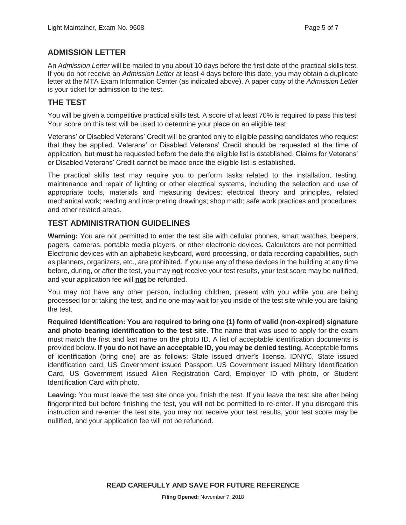# **ADMISSION LETTER**

An *Admission Letter* will be mailed to you about 10 days before the first date of the practical skills test. If you do not receive an *Admission Letter* at least 4 days before this date, you may obtain a duplicate letter at the MTA Exam Information Center (as indicated above). A paper copy of the *Admission Letter* is your ticket for admission to the test.

# **THE TEST**

You will be given a competitive practical skills test. A score of at least 70% is required to pass this test. Your score on this test will be used to determine your place on an eligible test.

Veterans' or Disabled Veterans' Credit will be granted only to eligible passing candidates who request that they be applied. Veterans' or Disabled Veterans' Credit should be requested at the time of application, but **must** be requested before the date the eligible list is established. Claims for Veterans' or Disabled Veterans' Credit cannot be made once the eligible list is established.

The practical skills test may require you to perform tasks related to the installation, testing, maintenance and repair of lighting or other electrical systems, including the selection and use of appropriate tools, materials and measuring devices; electrical theory and principles, related mechanical work; reading and interpreting drawings; shop math; safe work practices and procedures; and other related areas.

# **TEST ADMINISTRATION GUIDELINES**

**Warning:** You are not permitted to enter the test site with cellular phones, smart watches, beepers, pagers, cameras, portable media players, or other electronic devices. Calculators are not permitted. Electronic devices with an alphabetic keyboard, word processing, or data recording capabilities, such as planners, organizers, etc., are prohibited. If you use any of these devices in the building at any time before, during, or after the test, you may **not** receive your test results, your test score may be nullified, and your application fee will **not** be refunded.

You may not have any other person, including children, present with you while you are being processed for or taking the test, and no one may wait for you inside of the test site while you are taking the test.

**Required Identification: You are required to bring one (1) form of valid (non-expired) signature and photo bearing identification to the test site**. The name that was used to apply for the exam must match the first and last name on the photo ID. A list of acceptable identification documents is provided below**. If you do not have an acceptable ID, you may be denied testing.** Acceptable forms of identification (bring one) are as follows: State issued driver's license, IDNYC, State issued identification card, US Government issued Passport, US Government issued Military Identification Card, US Government issued Alien Registration Card, Employer ID with photo, or Student Identification Card with photo.

**Leaving:** You must leave the test site once you finish the test. If you leave the test site after being fingerprinted but before finishing the test, you will not be permitted to re-enter. If you disregard this instruction and re-enter the test site, you may not receive your test results, your test score may be nullified, and your application fee will not be refunded.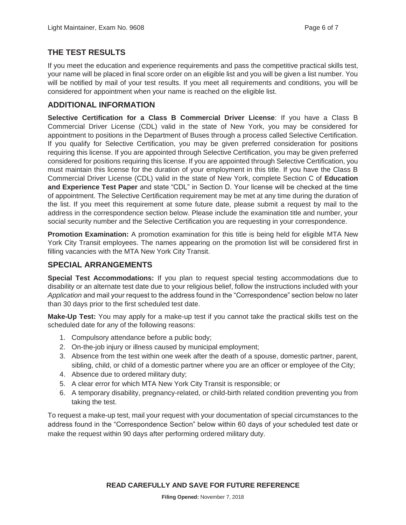## **THE TEST RESULTS**

If you meet the education and experience requirements and pass the competitive practical skills test, your name will be placed in final score order on an eligible list and you will be given a list number. You will be notified by mail of your test results. If you meet all requirements and conditions, you will be considered for appointment when your name is reached on the eligible list.

## **ADDITIONAL INFORMATION**

**Selective Certification for a Class B Commercial Driver License**: If you have a Class B Commercial Driver License (CDL) valid in the state of New York, you may be considered for appointment to positions in the Department of Buses through a process called Selective Certification. If you qualify for Selective Certification, you may be given preferred consideration for positions requiring this license. If you are appointed through Selective Certification, you may be given preferred considered for positions requiring this license. If you are appointed through Selective Certification, you must maintain this license for the duration of your employment in this title. If you have the Class B Commercial Driver License (CDL) valid in the state of New York, complete Section C of **Education and Experience Test Paper** and state "CDL" in Section D. Your license will be checked at the time of appointment. The Selective Certification requirement may be met at any time during the duration of the list. If you meet this requirement at some future date, please submit a request by mail to the address in the correspondence section below. Please include the examination title and number, your social security number and the Selective Certification you are requesting in your correspondence.

**Promotion Examination:** A promotion examination for this title is being held for eligible MTA New York City Transit employees. The names appearing on the promotion list will be considered first in filling vacancies with the MTA New York City Transit.

# **SPECIAL ARRANGEMENTS**

**Special Test Accommodations:** If you plan to request special testing accommodations due to disability or an alternate test date due to your religious belief, follow the instructions included with your *Application* and mail your request to the address found in the "Correspondence" section below no later than 30 days prior to the first scheduled test date.

**Make-Up Test:** You may apply for a make-up test if you cannot take the practical skills test on the scheduled date for any of the following reasons:

- 1. Compulsory attendance before a public body;
- 2. On-the-job injury or illness caused by municipal employment;
- 3. Absence from the test within one week after the death of a spouse, domestic partner, parent, sibling, child, or child of a domestic partner where you are an officer or employee of the City;
- 4. Absence due to ordered military duty;
- 5. A clear error for which MTA New York City Transit is responsible; or
- 6. A temporary disability, pregnancy-related, or child-birth related condition preventing you from taking the test.

To request a make-up test, mail your request with your documentation of special circumstances to the address found in the "Correspondence Section" below within 60 days of your scheduled test date or make the request within 90 days after performing ordered military duty.